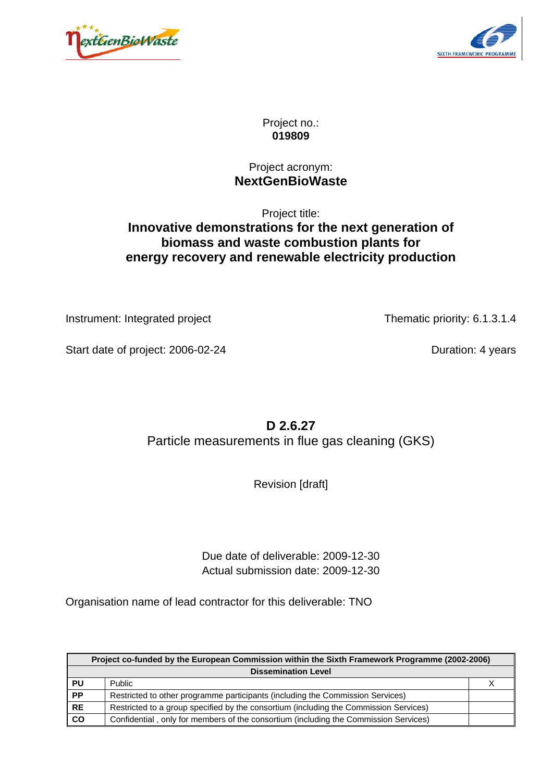



Project no.: **019809**

## Project acronym: **NextGenBioWaste**

# Project title: **Innovative demonstrations for the next generation of biomass and waste combustion plants for energy recovery and renewable electricity production**

Instrument: Integrated project Thematic priority: 6.1.3.1.4

Start date of project: 2006-02-24 Duration: 4 years

**D 2.6.27**  Particle measurements in flue gas cleaning (GKS)

Revision [draft]

Due date of deliverable: 2009-12-30 Actual submission date: 2009-12-30

Organisation name of lead contractor for this deliverable: TNO

|                                                                                                    | Project co-funded by the European Commission within the Sixth Framework Programme (2002-2006) |  |  |  |
|----------------------------------------------------------------------------------------------------|-----------------------------------------------------------------------------------------------|--|--|--|
|                                                                                                    | <b>Dissemination Level</b>                                                                    |  |  |  |
| PU                                                                                                 | Public                                                                                        |  |  |  |
| <b>PP</b><br>Restricted to other programme participants (including the Commission Services)        |                                                                                               |  |  |  |
| <b>RE</b><br>Restricted to a group specified by the consortium (including the Commission Services) |                                                                                               |  |  |  |
| co                                                                                                 | Confidential, only for members of the consortium (including the Commission Services)          |  |  |  |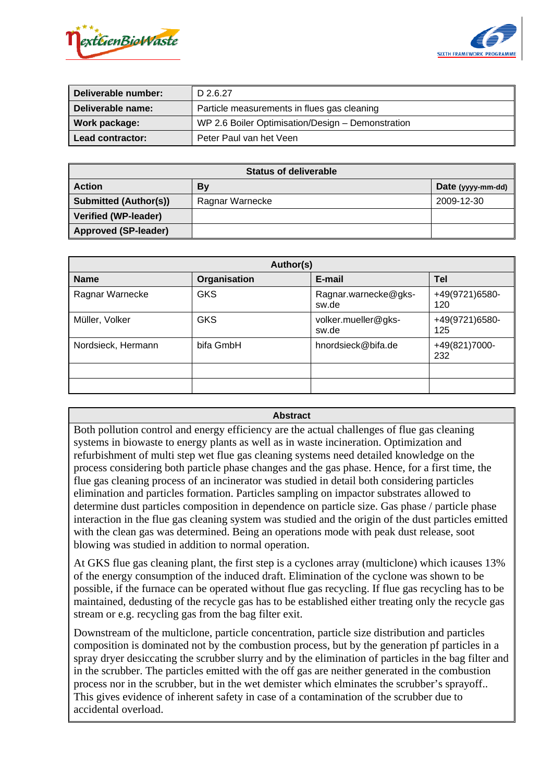



| Deliverable number: | D 2.6.27                                          |
|---------------------|---------------------------------------------------|
| Deliverable name:   | Particle measurements in flues gas cleaning       |
| Work package:       | WP 2.6 Boiler Optimisation/Design - Demonstration |
| Lead contractor:    | Peter Paul van het Veen                           |

| <b>Status of deliverable</b> |                 |                   |  |
|------------------------------|-----------------|-------------------|--|
| <b>I</b> Action              | By              | Date (yyyy-mm-dd) |  |
| Submitted (Author(s))        | Ragnar Warnecke | 2009-12-30        |  |
| Verified (WP-leader)         |                 |                   |  |
| Approved (SP-leader)         |                 |                   |  |

| Author(s)          |              |                               |                       |  |
|--------------------|--------------|-------------------------------|-----------------------|--|
| <b>Name</b>        | Organisation | E-mail                        | Tel                   |  |
| Ragnar Warnecke    | <b>GKS</b>   | Ragnar.warnecke@gks-<br>sw.de | +49(9721)6580-<br>120 |  |
| Müller, Volker     | <b>GKS</b>   | volker.mueller@gks-<br>sw.de  | +49(9721)6580-<br>125 |  |
| Nordsieck, Hermann | bifa GmbH    | hnordsieck@bifa.de            | +49(821)7000-<br>232  |  |
|                    |              |                               |                       |  |
|                    |              |                               |                       |  |

#### **Abstract**

Both pollution control and energy efficiency are the actual challenges of flue gas cleaning systems in biowaste to energy plants as well as in waste incineration. Optimization and refurbishment of multi step wet flue gas cleaning systems need detailed knowledge on the process considering both particle phase changes and the gas phase. Hence, for a first time, the flue gas cleaning process of an incinerator was studied in detail both considering particles elimination and particles formation. Particles sampling on impactor substrates allowed to determine dust particles composition in dependence on particle size. Gas phase / particle phase interaction in the flue gas cleaning system was studied and the origin of the dust particles emitted with the clean gas was determined. Being an operations mode with peak dust release, soot blowing was studied in addition to normal operation.

At GKS flue gas cleaning plant, the first step is a cyclones array (multiclone) which icauses 13% of the energy consumption of the induced draft. Elimination of the cyclone was shown to be possible, if the furnace can be operated without flue gas recycling. If flue gas recycling has to be maintained, dedusting of the recycle gas has to be established either treating only the recycle gas stream or e.g. recycling gas from the bag filter exit.

Downstream of the multiclone, particle concentration, particle size distribution and particles composition is dominated not by the combustion process, but by the generation pf particles in a spray dryer desiccating the scrubber slurry and by the elimination of particles in the bag filter and in the scrubber. The particles emitted with the off gas are neither generated in the combustion process nor in the scrubber, but in the wet demister which elminates the scrubber's sprayoff.. This gives evidence of inherent safety in case of a contamination of the scrubber due to accidental overload.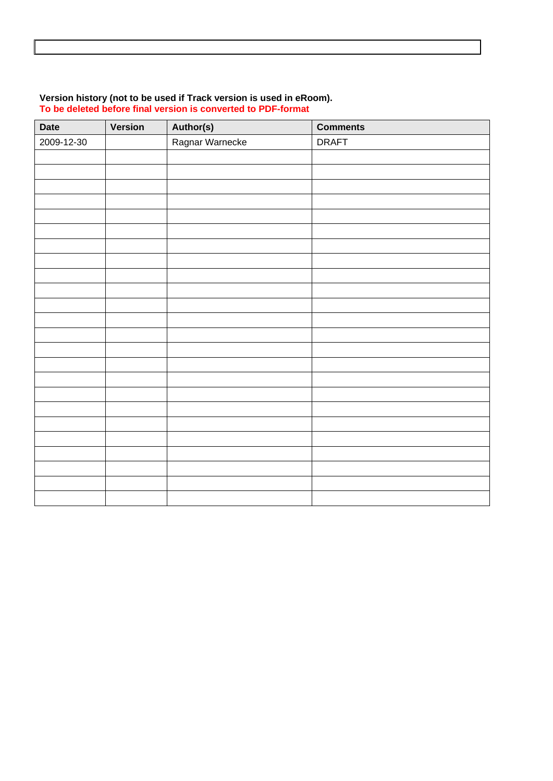#### **Version history (not to be used if Track version is used in eRoom). To be deleted before final version is converted to PDF-format**

| Date       | Version | Author(s)       | <b>Comments</b> |
|------------|---------|-----------------|-----------------|
| 2009-12-30 |         | Ragnar Warnecke | <b>DRAFT</b>    |
|            |         |                 |                 |
|            |         |                 |                 |
|            |         |                 |                 |
|            |         |                 |                 |
|            |         |                 |                 |
|            |         |                 |                 |
|            |         |                 |                 |
|            |         |                 |                 |
|            |         |                 |                 |
|            |         |                 |                 |
|            |         |                 |                 |
|            |         |                 |                 |
|            |         |                 |                 |
|            |         |                 |                 |
|            |         |                 |                 |
|            |         |                 |                 |
|            |         |                 |                 |
|            |         |                 |                 |
|            |         |                 |                 |
|            |         |                 |                 |
|            |         |                 |                 |
|            |         |                 |                 |
|            |         |                 |                 |
|            |         |                 |                 |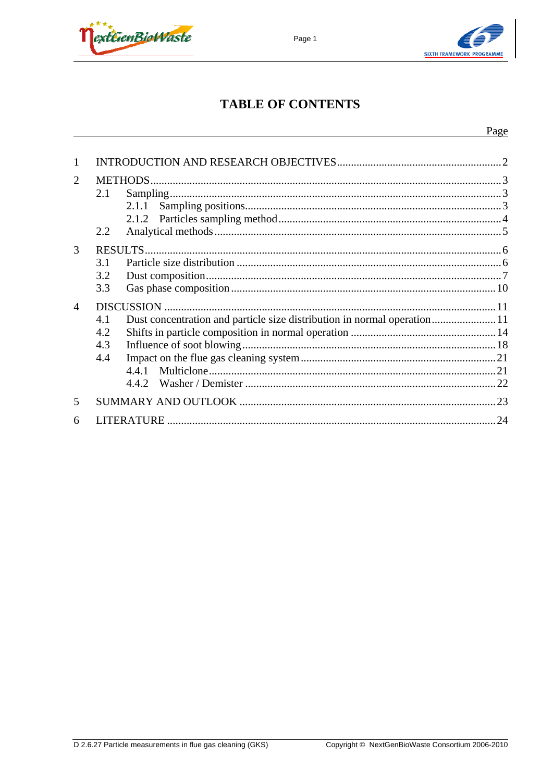



# **TABLE OF CONTENTS**

Page 1

| 1 |                          |  |
|---|--------------------------|--|
| 2 | 2.1<br>2.1.1<br>2.2      |  |
| 3 | 3.1<br>3.2<br>3.3        |  |
| 4 | 4.1<br>4.2<br>4.3<br>4.4 |  |
| 5 |                          |  |
| 6 |                          |  |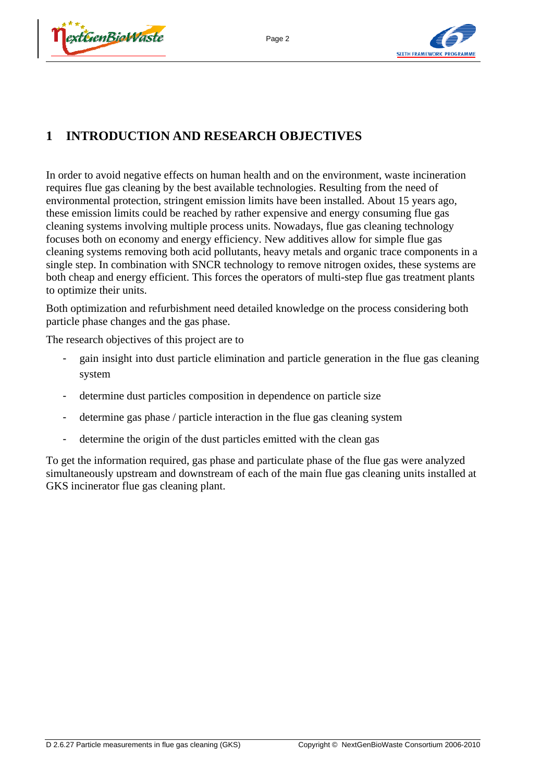



# **1 INTRODUCTION AND RESEARCH OBJECTIVES**

In order to avoid negative effects on human health and on the environment, waste incineration requires flue gas cleaning by the best available technologies. Resulting from the need of environmental protection, stringent emission limits have been installed. About 15 years ago, these emission limits could be reached by rather expensive and energy consuming flue gas cleaning systems involving multiple process units. Nowadays, flue gas cleaning technology focuses both on economy and energy efficiency. New additives allow for simple flue gas cleaning systems removing both acid pollutants, heavy metals and organic trace components in a single step. In combination with SNCR technology to remove nitrogen oxides, these systems are both cheap and energy efficient. This forces the operators of multi-step flue gas treatment plants to optimize their units.

Both optimization and refurbishment need detailed knowledge on the process considering both particle phase changes and the gas phase.

The research objectives of this project are to

- gain insight into dust particle elimination and particle generation in the flue gas cleaning system
- determine dust particles composition in dependence on particle size
- determine gas phase / particle interaction in the flue gas cleaning system
- determine the origin of the dust particles emitted with the clean gas

To get the information required, gas phase and particulate phase of the flue gas were analyzed simultaneously upstream and downstream of each of the main flue gas cleaning units installed at GKS incinerator flue gas cleaning plant.

Page 2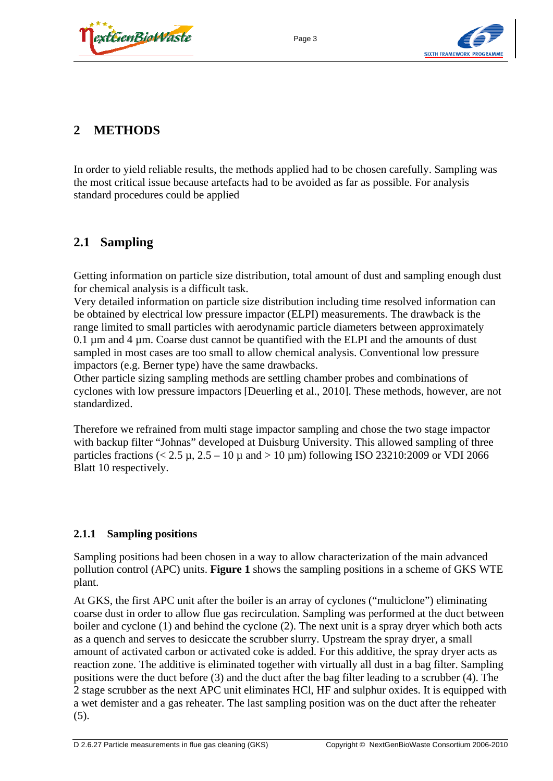

# **2 METHODS**

In order to yield reliable results, the methods applied had to be chosen carefully. Sampling was the most critical issue because artefacts had to be avoided as far as possible. For analysis standard procedures could be applied

Page 3

# **2.1 Sampling**

Getting information on particle size distribution, total amount of dust and sampling enough dust for chemical analysis is a difficult task.

Very detailed information on particle size distribution including time resolved information can be obtained by electrical low pressure impactor (ELPI) measurements. The drawback is the range limited to small particles with aerodynamic particle diameters between approximately  $0.1 \mu$ m and  $4 \mu$ m. Coarse dust cannot be quantified with the ELPI and the amounts of dust sampled in most cases are too small to allow chemical analysis. Conventional low pressure impactors (e.g. Berner type) have the same drawbacks.

Other particle sizing sampling methods are settling chamber probes and combinations of cyclones with low pressure impactors [Deuerling et al., 2010]. These methods, however, are not standardized.

Therefore we refrained from multi stage impactor sampling and chose the two stage impactor with backup filter "Johnas" developed at Duisburg University. This allowed sampling of three particles fractions  $(< 2.5 \mu$ ,  $2.5 - 10 \mu$  and  $> 10 \mu$ m) following ISO 23210:2009 or VDI 2066 Blatt 10 respectively.

## **2.1.1 Sampling positions**

Sampling positions had been chosen in a way to allow characterization of the main advanced pollution control (APC) units. **Figure 1** shows the sampling positions in a scheme of GKS WTE plant.

At GKS, the first APC unit after the boiler is an array of cyclones ("multiclone") eliminating coarse dust in order to allow flue gas recirculation. Sampling was performed at the duct between boiler and cyclone (1) and behind the cyclone (2). The next unit is a spray dryer which both acts as a quench and serves to desiccate the scrubber slurry. Upstream the spray dryer, a small amount of activated carbon or activated coke is added. For this additive, the spray dryer acts as reaction zone. The additive is eliminated together with virtually all dust in a bag filter. Sampling positions were the duct before (3) and the duct after the bag filter leading to a scrubber (4). The 2 stage scrubber as the next APC unit eliminates HCl, HF and sulphur oxides. It is equipped with a wet demister and a gas reheater. The last sampling position was on the duct after the reheater (5).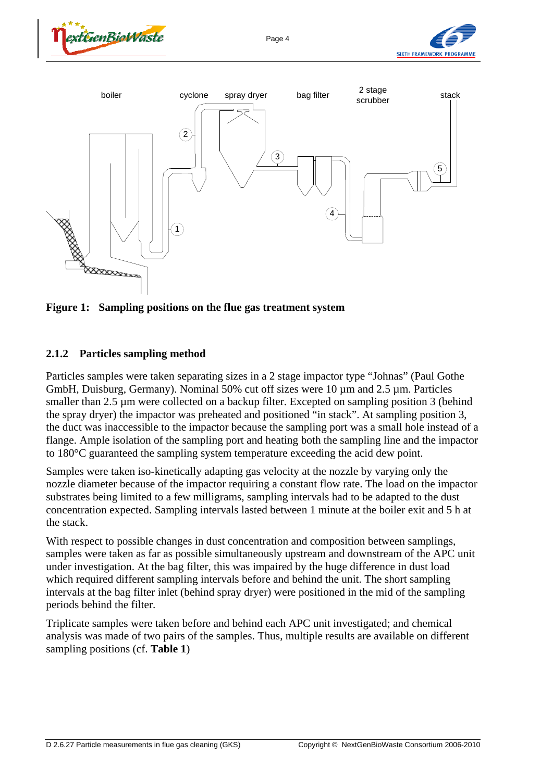





**Figure 1: Sampling positions on the flue gas treatment system** 

#### **2.1.2 Particles sampling method**

Particles samples were taken separating sizes in a 2 stage impactor type "Johnas" (Paul Gothe GmbH, Duisburg, Germany). Nominal 50% cut off sizes were 10  $\mu$ m and 2.5  $\mu$ m. Particles smaller than 2.5 µm were collected on a backup filter. Excepted on sampling position 3 (behind the spray dryer) the impactor was preheated and positioned "in stack". At sampling position 3, the duct was inaccessible to the impactor because the sampling port was a small hole instead of a flange. Ample isolation of the sampling port and heating both the sampling line and the impactor to 180°C guaranteed the sampling system temperature exceeding the acid dew point.

Samples were taken iso-kinetically adapting gas velocity at the nozzle by varying only the nozzle diameter because of the impactor requiring a constant flow rate. The load on the impactor substrates being limited to a few milligrams, sampling intervals had to be adapted to the dust concentration expected. Sampling intervals lasted between 1 minute at the boiler exit and 5 h at the stack.

With respect to possible changes in dust concentration and composition between samplings, samples were taken as far as possible simultaneously upstream and downstream of the APC unit under investigation. At the bag filter, this was impaired by the huge difference in dust load which required different sampling intervals before and behind the unit. The short sampling intervals at the bag filter inlet (behind spray dryer) were positioned in the mid of the sampling periods behind the filter.

Triplicate samples were taken before and behind each APC unit investigated; and chemical analysis was made of two pairs of the samples. Thus, multiple results are available on different sampling positions (cf. **Table 1**)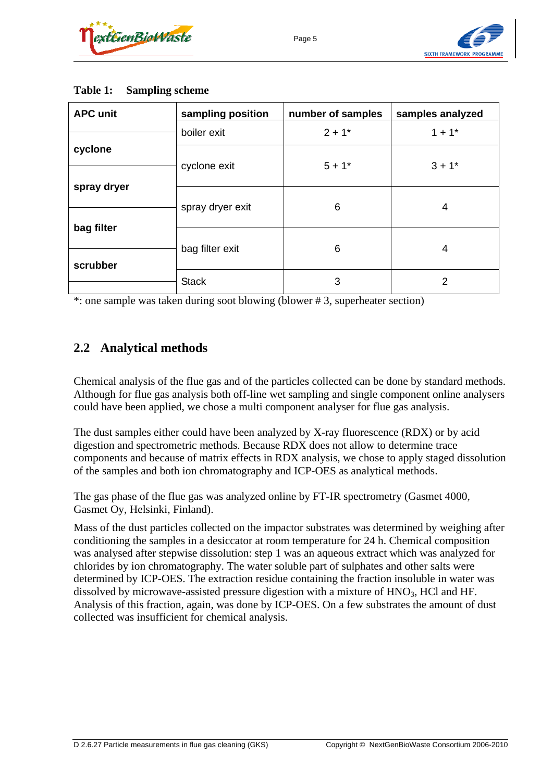



| <b>APC unit</b> | sampling position | number of samples | samples analyzed     |  |
|-----------------|-------------------|-------------------|----------------------|--|
|                 | boiler exit       | $2 + 1*$          | $1 + 1$ <sup>*</sup> |  |
| cyclone         | cyclone exit      | $5 + 1*$          | $3 + 1*$             |  |
| spray dryer     |                   |                   |                      |  |
|                 | spray dryer exit  | 6                 | 4                    |  |
| bag filter      |                   |                   |                      |  |
|                 | bag filter exit   | 6                 | 4                    |  |
| scrubber        |                   |                   |                      |  |
|                 | <b>Stack</b>      | 3                 | 2                    |  |

#### **Table 1: Sampling scheme**

\*: one sample was taken during soot blowing (blower # 3, superheater section)

## **2.2 Analytical methods**

Chemical analysis of the flue gas and of the particles collected can be done by standard methods. Although for flue gas analysis both off-line wet sampling and single component online analysers could have been applied, we chose a multi component analyser for flue gas analysis.

The dust samples either could have been analyzed by X-ray fluorescence (RDX) or by acid digestion and spectrometric methods. Because RDX does not allow to determine trace components and because of matrix effects in RDX analysis, we chose to apply staged dissolution of the samples and both ion chromatography and ICP-OES as analytical methods.

The gas phase of the flue gas was analyzed online by FT-IR spectrometry (Gasmet 4000, Gasmet Oy, Helsinki, Finland).

Mass of the dust particles collected on the impactor substrates was determined by weighing after conditioning the samples in a desiccator at room temperature for 24 h. Chemical composition was analysed after stepwise dissolution: step 1 was an aqueous extract which was analyzed for chlorides by ion chromatography. The water soluble part of sulphates and other salts were determined by ICP-OES. The extraction residue containing the fraction insoluble in water was dissolved by microwave-assisted pressure digestion with a mixture of HNO<sub>3</sub>, HCl and HF. Analysis of this fraction, again, was done by ICP-OES. On a few substrates the amount of dust collected was insufficient for chemical analysis.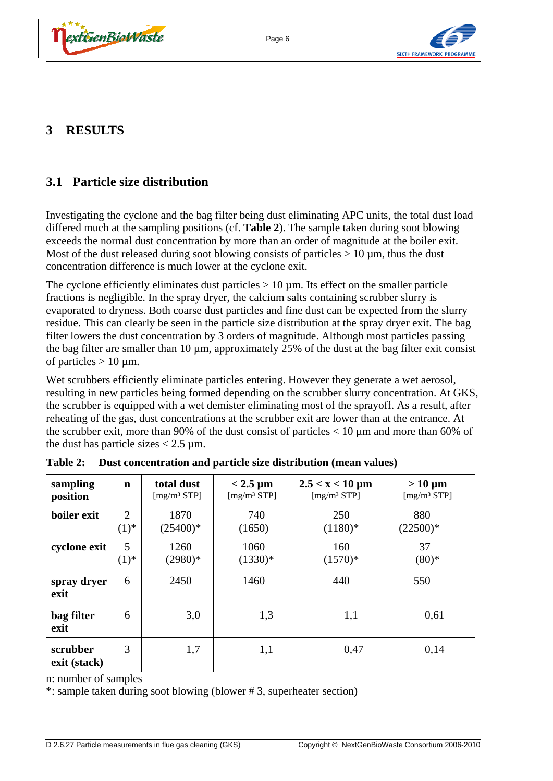



# **3 RESULTS**

## **3.1 Particle size distribution**

Investigating the cyclone and the bag filter being dust eliminating APC units, the total dust load differed much at the sampling positions (cf. **Table 2**). The sample taken during soot blowing exceeds the normal dust concentration by more than an order of magnitude at the boiler exit. Most of the dust released during soot blowing consists of particles  $> 10 \mu m$ , thus the dust concentration difference is much lower at the cyclone exit.

Page 6

The cyclone efficiently eliminates dust particles  $> 10 \mu$ m. Its effect on the smaller particle fractions is negligible. In the spray dryer, the calcium salts containing scrubber slurry is evaporated to dryness. Both coarse dust particles and fine dust can be expected from the slurry residue. This can clearly be seen in the particle size distribution at the spray dryer exit. The bag filter lowers the dust concentration by 3 orders of magnitude. Although most particles passing the bag filter are smaller than 10 µm, approximately 25% of the dust at the bag filter exit consist of particles  $> 10 \mu$ m.

Wet scrubbers efficiently eliminate particles entering. However they generate a wet aerosol, resulting in new particles being formed depending on the scrubber slurry concentration. At GKS, the scrubber is equipped with a wet demister eliminating most of the sprayoff. As a result, after reheating of the gas, dust concentrations at the scrubber exit are lower than at the entrance. At the scrubber exit, more than 90% of the dust consist of particles  $< 10 \mu$ m and more than 60% of the dust has particle sizes  $< 2.5 \mu$ m.

| sampling                 | $\mathbf n$ | total dust              | $< 2.5 \mu m$           | $2.5 < x < 10 \mu m$    | $> 10 \mu m$            |
|--------------------------|-------------|-------------------------|-------------------------|-------------------------|-------------------------|
| position                 |             | [mg/m <sup>3</sup> STP] | [mg/m <sup>3</sup> STP] | [mg/m <sup>3</sup> STP] | [mg/m <sup>3</sup> STP] |
| boiler exit              | 2           | 1870                    | 740                     | 250                     | 880                     |
|                          | $(1)^{*}$   | $(25400)*$              | (1650)                  | $(1180)*$               | $(22500)*$              |
| cyclone exit             | 5           | 1260                    | 1060                    | 160                     | 37                      |
|                          | $(1)^{*}$   | $(2980)*$               | $(1330)*$               | $(1570)*$               | $(80)*$                 |
| spray dryer<br>exit      | 6           | 2450                    | 1460                    | 440                     | 550                     |
| bag filter<br>exit       | 6           | 3,0                     | 1,3                     | 1,1                     | 0,61                    |
| scrubber<br>exit (stack) | 3           | 1,7                     | 1,1                     | 0,47                    | 0,14                    |

**Table 2: Dust concentration and particle size distribution (mean values)** 

n: number of samples

\*: sample taken during soot blowing (blower # 3, superheater section)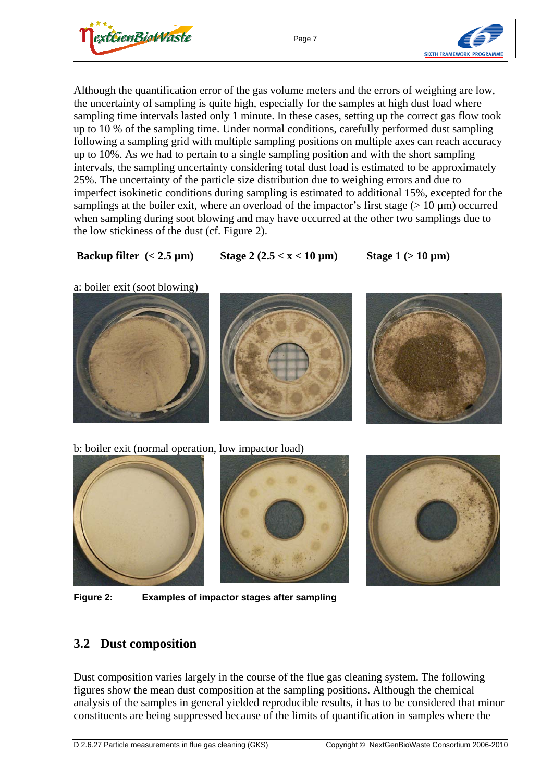

Page 7



Although the quantification error of the gas volume meters and the errors of weighing are low, the uncertainty of sampling is quite high, especially for the samples at high dust load where sampling time intervals lasted only 1 minute. In these cases, setting up the correct gas flow took up to 10 % of the sampling time. Under normal conditions, carefully performed dust sampling following a sampling grid with multiple sampling positions on multiple axes can reach accuracy up to 10%. As we had to pertain to a single sampling position and with the short sampling intervals, the sampling uncertainty considering total dust load is estimated to be approximately 25%. The uncertainty of the particle size distribution due to weighing errors and due to imperfect isokinetic conditions during sampling is estimated to additional 15%, excepted for the samplings at the boiler exit, where an overload of the impactor's first stage ( $> 10 \mu m$ ) occurred when sampling during soot blowing and may have occurred at the other two samplings due to the low stickiness of the dust (cf. Figure 2).

### Backup filter  $(< 2.5 \text{ µm})$  Stage  $2 (2.5 < x < 10 \text{ µm})$  Stage  $1 (> 10 \text{ µm})$

a: boiler exit (soot blowing)







b: boiler exit (normal operation, low impactor load)







# **3.2 Dust composition**

Dust composition varies largely in the course of the flue gas cleaning system. The following figures show the mean dust composition at the sampling positions. Although the chemical analysis of the samples in general yielded reproducible results, it has to be considered that minor constituents are being suppressed because of the limits of quantification in samples where the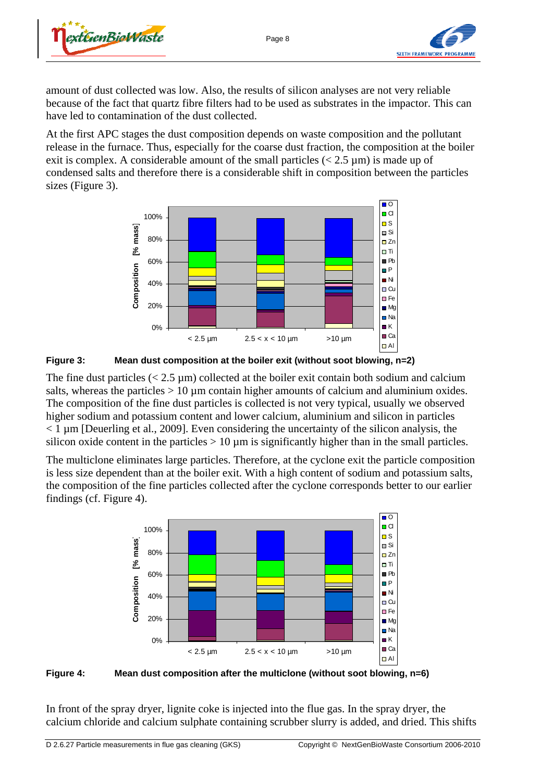



amount of dust collected was low. Also, the results of silicon analyses are not very reliable because of the fact that quartz fibre filters had to be used as substrates in the impactor. This can have led to contamination of the dust collected.

At the first APC stages the dust composition depends on waste composition and the pollutant release in the furnace. Thus, especially for the coarse dust fraction, the composition at the boiler exit is complex. A considerable amount of the small particles  $\langle 2.5 \mu m \rangle$  is made up of condensed salts and therefore there is a considerable shift in composition between the particles sizes (Figure 3).





The fine dust particles  $(< 2.5 \text{ µm})$  collected at the boiler exit contain both sodium and calcium salts, whereas the particles  $> 10 \mu$ m contain higher amounts of calcium and aluminium oxides. The composition of the fine dust particles is collected is not very typical, usually we observed higher sodium and potassium content and lower calcium, aluminium and silicon in particles  $<$  1  $\mu$ m [Deuerling et al., 2009]. Even considering the uncertainty of the silicon analysis, the silicon oxide content in the particles  $> 10 \text{ um}$  is significantly higher than in the small particles.

The multiclone eliminates large particles. Therefore, at the cyclone exit the particle composition is less size dependent than at the boiler exit. With a high content of sodium and potassium salts, the composition of the fine particles collected after the cyclone corresponds better to our earlier findings (cf. Figure 4).



**Figure 4: Mean dust composition after the multiclone (without soot blowing, n=6)** 

In front of the spray dryer, lignite coke is injected into the flue gas. In the spray dryer, the calcium chloride and calcium sulphate containing scrubber slurry is added, and dried. This shifts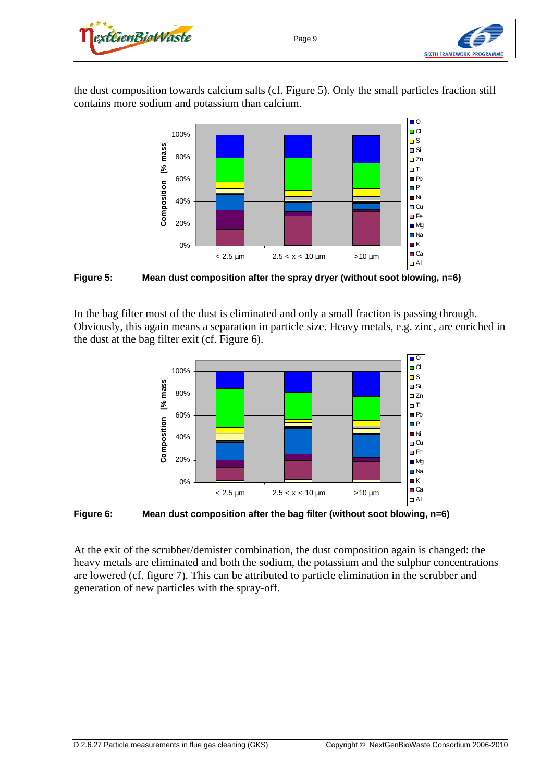



the dust composition towards calcium salts (cf. Figure 5). Only the small particles fraction still contains more sodium and potassium than calcium.



**Figure 5: Mean dust composition after the spray dryer (without soot blowing, n=6)** 

In the bag filter most of the dust is eliminated and only a small fraction is passing through. Obviously, this again means a separation in particle size. Heavy metals, e.g. zinc, are enriched in the dust at the bag filter exit (cf. Figure 6).



**Figure 6: Mean dust composition after the bag filter (without soot blowing, n=6)** 

At the exit of the scrubber/demister combination, the dust composition again is changed: the heavy metals are eliminated and both the sodium, the potassium and the sulphur concentrations are lowered (cf. figure 7). This can be attributed to particle elimination in the scrubber and generation of new particles with the spray-off.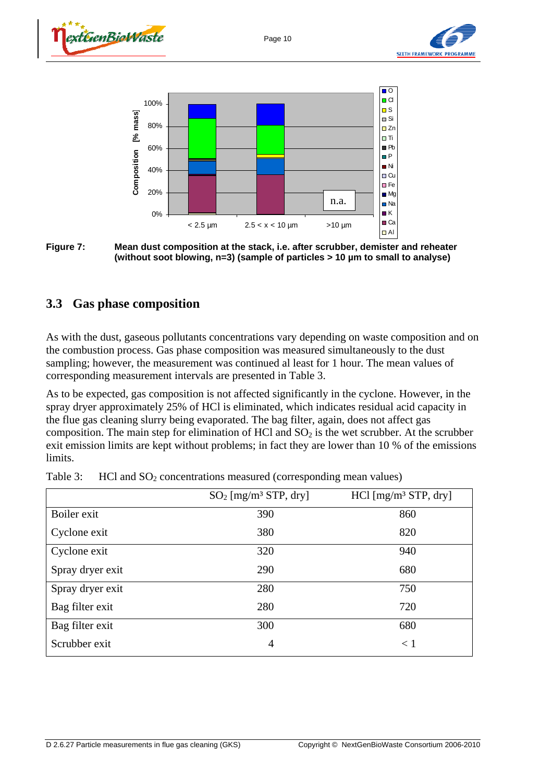Page 10









## **3.3 Gas phase composition**

As with the dust, gaseous pollutants concentrations vary depending on waste composition and on the combustion process. Gas phase composition was measured simultaneously to the dust sampling; however, the measurement was continued al least for 1 hour. The mean values of corresponding measurement intervals are presented in Table 3.

As to be expected, gas composition is not affected significantly in the cyclone. However, in the spray dryer approximately 25% of HCl is eliminated, which indicates residual acid capacity in the flue gas cleaning slurry being evaporated. The bag filter, again, does not affect gas composition. The main step for elimination of HCl and  $SO<sub>2</sub>$  is the wet scrubber. At the scrubber exit emission limits are kept without problems; in fact they are lower than 10 % of the emissions limits.

|                  | $SO_2$ [mg/m <sup>3</sup> STP, dry] | $HC1$ [mg/m <sup>3</sup> STP, dry] |
|------------------|-------------------------------------|------------------------------------|
| Boiler exit      | 390                                 | 860                                |
| Cyclone exit     | 380                                 | 820                                |
| Cyclone exit     | 320                                 | 940                                |
| Spray dryer exit | 290                                 | 680                                |
| Spray dryer exit | 280                                 | 750                                |
| Bag filter exit  | 280                                 | 720                                |
| Bag filter exit  | 300                                 | 680                                |
| Scrubber exit    | 4                                   | $\leq 1$                           |

|  |  | Table 3: HCl and $SO_2$ concentrations measured (corresponding mean values) |  |  |  |
|--|--|-----------------------------------------------------------------------------|--|--|--|
|--|--|-----------------------------------------------------------------------------|--|--|--|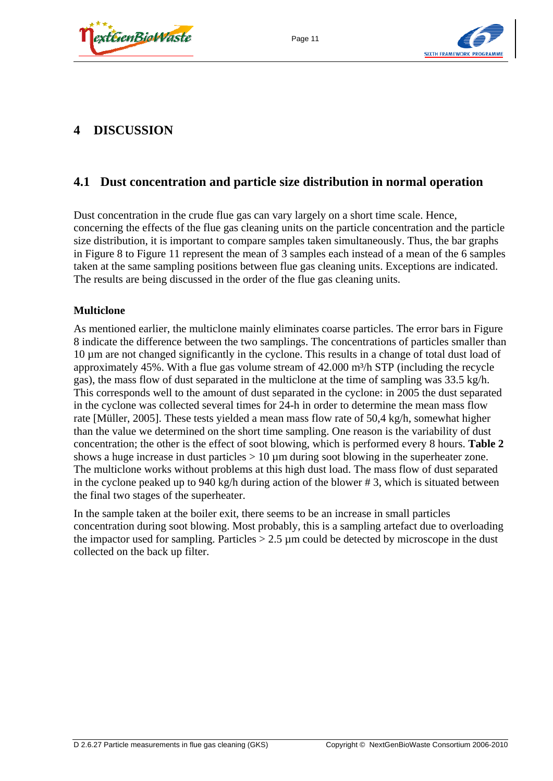





# **4 DISCUSSION**

## **4.1 Dust concentration and particle size distribution in normal operation**

Dust concentration in the crude flue gas can vary largely on a short time scale. Hence, concerning the effects of the flue gas cleaning units on the particle concentration and the particle size distribution, it is important to compare samples taken simultaneously. Thus, the bar graphs in Figure 8 to Figure 11 represent the mean of 3 samples each instead of a mean of the 6 samples taken at the same sampling positions between flue gas cleaning units. Exceptions are indicated. The results are being discussed in the order of the flue gas cleaning units.

#### **Multiclone**

As mentioned earlier, the multiclone mainly eliminates coarse particles. The error bars in Figure 8 indicate the difference between the two samplings. The concentrations of particles smaller than 10 µm are not changed significantly in the cyclone. This results in a change of total dust load of approximately 45%. With a flue gas volume stream of  $42.000$  m<sup>3</sup>/h STP (including the recycle gas), the mass flow of dust separated in the multiclone at the time of sampling was 33.5 kg/h. This corresponds well to the amount of dust separated in the cyclone: in 2005 the dust separated in the cyclone was collected several times for 24-h in order to determine the mean mass flow rate [Müller, 2005]. These tests yielded a mean mass flow rate of 50,4 kg/h, somewhat higher than the value we determined on the short time sampling. One reason is the variability of dust concentration; the other is the effect of soot blowing, which is performed every 8 hours. **Table 2** shows a huge increase in dust particles  $> 10 \mu m$  during soot blowing in the superheater zone. The multiclone works without problems at this high dust load. The mass flow of dust separated in the cyclone peaked up to 940 kg/h during action of the blower # 3, which is situated between the final two stages of the superheater.

In the sample taken at the boiler exit, there seems to be an increase in small particles concentration during soot blowing. Most probably, this is a sampling artefact due to overloading the impactor used for sampling. Particles  $> 2.5 \mu m$  could be detected by microscope in the dust collected on the back up filter.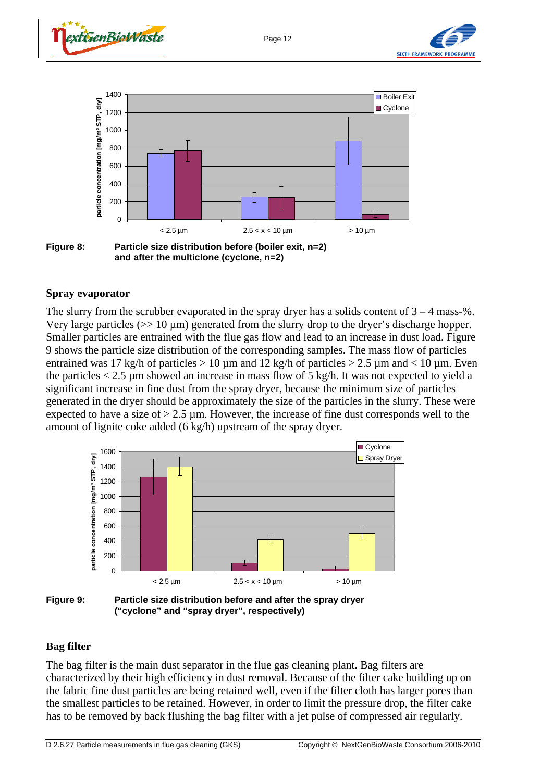





**and after the multiclone (cyclone, n=2)** 

#### **Spray evaporator**

The slurry from the scrubber evaporated in the spray dryer has a solids content of  $3 - 4$  mass-%. Very large particles  $>> 10 \mu m$ ) generated from the slurry drop to the dryer's discharge hopper. Smaller particles are entrained with the flue gas flow and lead to an increase in dust load. Figure 9 shows the particle size distribution of the corresponding samples. The mass flow of particles entrained was 17 kg/h of particles  $> 10 \mu$ m and 12 kg/h of particles  $> 2.5 \mu$ m and  $< 10 \mu$ m. Even the particles  $< 2.5 \mu m$  showed an increase in mass flow of 5 kg/h. It was not expected to yield a significant increase in fine dust from the spray dryer, because the minimum size of particles generated in the dryer should be approximately the size of the particles in the slurry. These were expected to have a size of  $> 2.5 \mu$ m. However, the increase of fine dust corresponds well to the amount of lignite coke added (6 kg/h) upstream of the spray dryer.





#### **Bag filter**

The bag filter is the main dust separator in the flue gas cleaning plant. Bag filters are characterized by their high efficiency in dust removal. Because of the filter cake building up on the fabric fine dust particles are being retained well, even if the filter cloth has larger pores than the smallest particles to be retained. However, in order to limit the pressure drop, the filter cake has to be removed by back flushing the bag filter with a jet pulse of compressed air regularly.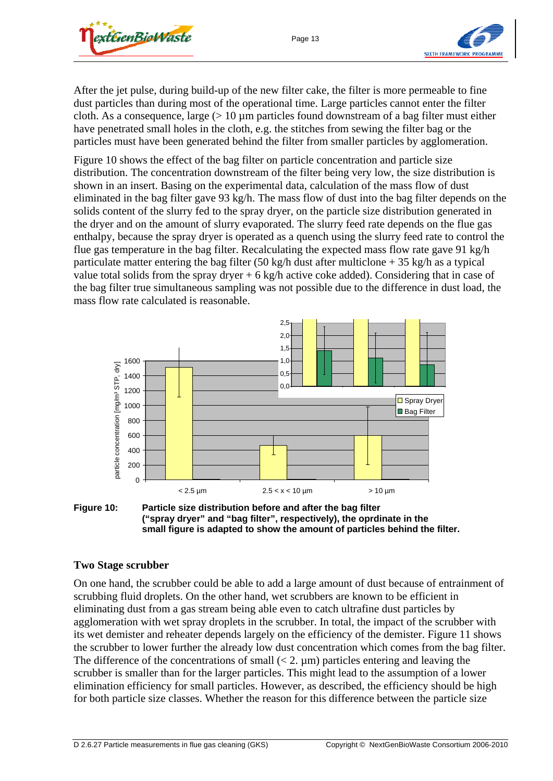



After the jet pulse, during build-up of the new filter cake, the filter is more permeable to fine dust particles than during most of the operational time. Large particles cannot enter the filter cloth. As a consequence, large  $(> 10 \mu m)$  particles found downstream of a bag filter must either have penetrated small holes in the cloth, e.g. the stitches from sewing the filter bag or the particles must have been generated behind the filter from smaller particles by agglomeration.

Figure 10 shows the effect of the bag filter on particle concentration and particle size distribution. The concentration downstream of the filter being very low, the size distribution is shown in an insert. Basing on the experimental data, calculation of the mass flow of dust eliminated in the bag filter gave 93 kg/h. The mass flow of dust into the bag filter depends on the solids content of the slurry fed to the spray dryer, on the particle size distribution generated in the dryer and on the amount of slurry evaporated. The slurry feed rate depends on the flue gas enthalpy, because the spray dryer is operated as a quench using the slurry feed rate to control the flue gas temperature in the bag filter. Recalculating the expected mass flow rate gave 91 kg/h particulate matter entering the bag filter (50 kg/h dust after multiclone  $+ 35$  kg/h as a typical value total solids from the spray dryer  $+ 6 \text{ kg/h}$  active coke added). Considering that in case of the bag filter true simultaneous sampling was not possible due to the difference in dust load, the mass flow rate calculated is reasonable.





#### **Two Stage scrubber**

On one hand, the scrubber could be able to add a large amount of dust because of entrainment of scrubbing fluid droplets. On the other hand, wet scrubbers are known to be efficient in eliminating dust from a gas stream being able even to catch ultrafine dust particles by agglomeration with wet spray droplets in the scrubber. In total, the impact of the scrubber with its wet demister and reheater depends largely on the efficiency of the demister. Figure 11 shows the scrubber to lower further the already low dust concentration which comes from the bag filter. The difference of the concentrations of small  $(< 2$ ,  $\mu$ m) particles entering and leaving the scrubber is smaller than for the larger particles. This might lead to the assumption of a lower elimination efficiency for small particles. However, as described, the efficiency should be high for both particle size classes. Whether the reason for this difference between the particle size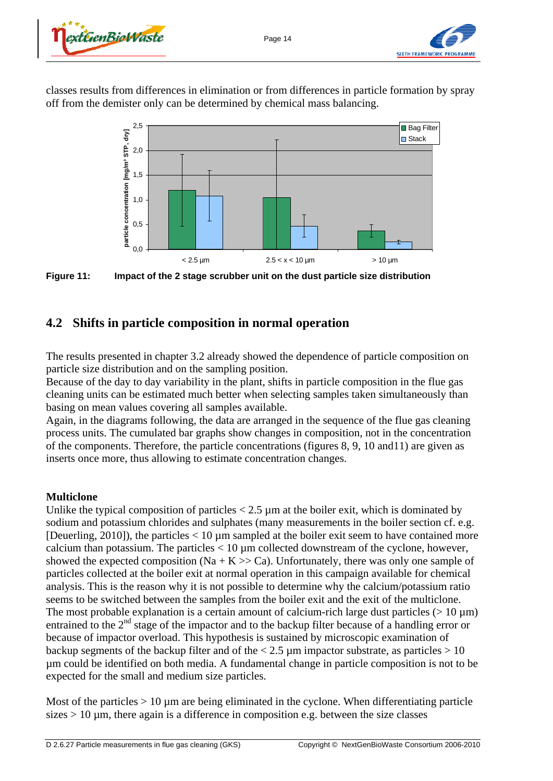



classes results from differences in elimination or from differences in particle formation by spray off from the demister only can be determined by chemical mass balancing.



Figure 11: Impact of the 2 stage scrubber unit on the dust particle size distribution

## **4.2 Shifts in particle composition in normal operation**

The results presented in chapter 3.2 already showed the dependence of particle composition on particle size distribution and on the sampling position.

Because of the day to day variability in the plant, shifts in particle composition in the flue gas cleaning units can be estimated much better when selecting samples taken simultaneously than basing on mean values covering all samples available.

Again, in the diagrams following, the data are arranged in the sequence of the flue gas cleaning process units. The cumulated bar graphs show changes in composition, not in the concentration of the components. Therefore, the particle concentrations (figures 8, 9, 10 and11) are given as inserts once more, thus allowing to estimate concentration changes.

#### **Multiclone**

Unlike the typical composition of particles  $< 2.5 \mu m$  at the boiler exit, which is dominated by sodium and potassium chlorides and sulphates (many measurements in the boiler section cf. e.g. [Deuerling, 2010]), the particles  $< 10 \mu m$  sampled at the boiler exit seem to have contained more calcium than potassium. The particles  $< 10 \mu$ m collected downstream of the cyclone, however, showed the expected composition (Na + K  $>>$  Ca). Unfortunately, there was only one sample of particles collected at the boiler exit at normal operation in this campaign available for chemical analysis. This is the reason why it is not possible to determine why the calcium/potassium ratio seems to be switched between the samples from the boiler exit and the exit of the multiclone. The most probable explanation is a certain amount of calcium-rich large dust particles  $(> 10 \,\mu m)$ entrained to the 2<sup>nd</sup> stage of the impactor and to the backup filter because of a handling error or because of impactor overload. This hypothesis is sustained by microscopic examination of backup segments of the backup filter and of the  $< 2.5 \mu m$  impactor substrate, as particles  $> 10$ µm could be identified on both media. A fundamental change in particle composition is not to be expected for the small and medium size particles.

Most of the particles  $> 10 \mu m$  are being eliminated in the cyclone. When differentiating particle sizes  $> 10 \mu$ m, there again is a difference in composition e.g. between the size classes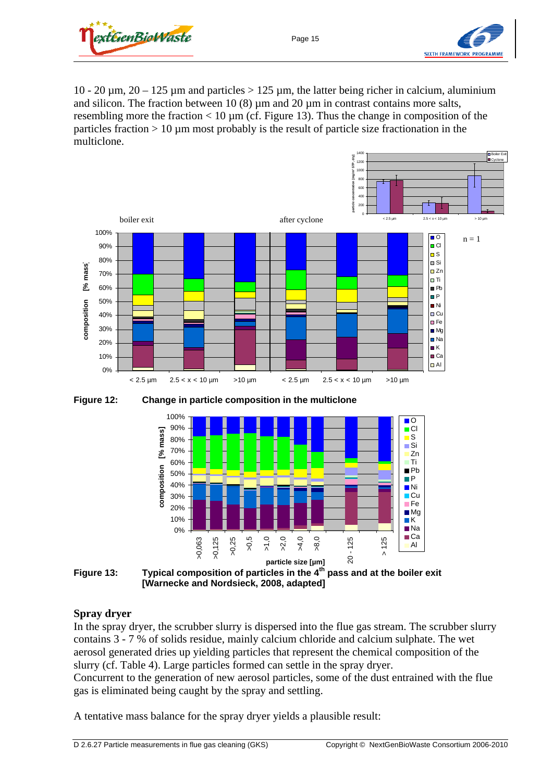



10 - 20  $\mu$ m, 20 - 125  $\mu$ m and particles > 125  $\mu$ m, the latter being richer in calcium, aluminium and silicon. The fraction between 10 (8)  $\mu$ m and 20  $\mu$ m in contrast contains more salts, resembling more the fraction  $< 10 \mu m$  (cf. Figure 13). Thus the change in composition of the particles fraction  $> 10 \mu$ m most probably is the result of particle size fractionation in the multiclone.



**Figure 12: Change in particle composition in the multiclone** 



**Figure 13: Typical composition of particles in the 4th pass and at the boiler exit [Warnecke and Nordsieck, 2008, adapted]** 

#### **Spray dryer**

In the spray dryer, the scrubber slurry is dispersed into the flue gas stream. The scrubber slurry contains 3 - 7 % of solids residue, mainly calcium chloride and calcium sulphate. The wet aerosol generated dries up yielding particles that represent the chemical composition of the slurry (cf. Table 4). Large particles formed can settle in the spray dryer. Concurrent to the generation of new aerosol particles, some of the dust entrained with the flue gas is eliminated being caught by the spray and settling.

A tentative mass balance for the spray dryer yields a plausible result: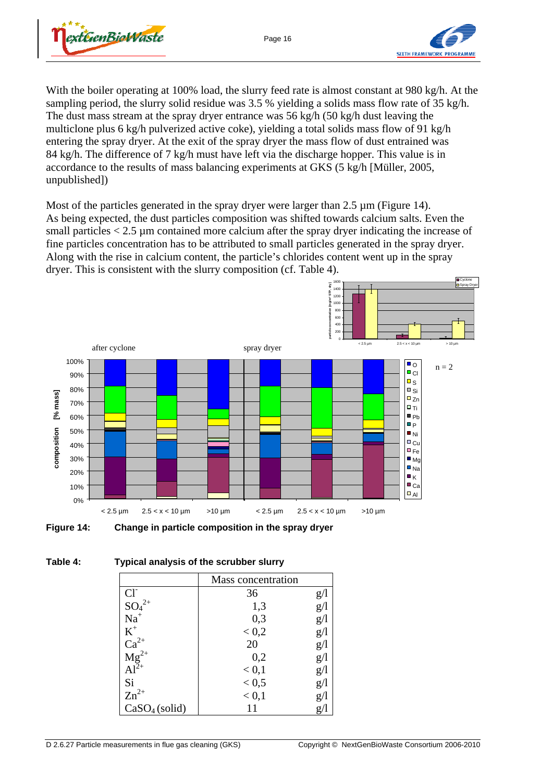



**Cyclone** Spray Dryer

With the boiler operating at 100% load, the slurry feed rate is almost constant at 980 kg/h. At the sampling period, the slurry solid residue was 3.5 % yielding a solids mass flow rate of 35 kg/h. The dust mass stream at the spray dryer entrance was 56 kg/h (50 kg/h dust leaving the multiclone plus 6 kg/h pulverized active coke), yielding a total solids mass flow of 91 kg/h entering the spray dryer. At the exit of the spray dryer the mass flow of dust entrained was 84 kg/h. The difference of 7 kg/h must have left via the discharge hopper. This value is in accordance to the results of mass balancing experiments at GKS (5 kg/h [Müller, 2005, unpublished])

Most of the particles generated in the spray dryer were larger than 2.5  $\mu$ m (Figure 14). As being expected, the dust particles composition was shifted towards calcium salts. Even the small particles  $< 2.5 \mu$ m contained more calcium after the spray dryer indicating the increase of fine particles concentration has to be attributed to small particles generated in the spray dryer. Along with the rise in calcium content, the particle's chlorides content went up in the spray dryer. This is consistent with the slurry composition (cf. Table 4).

> 1400 1600



**Figure 14: Change in particle composition in the spray dryer** 

|                                     | Mass concentration |     |
|-------------------------------------|--------------------|-----|
| $Cl^{-}$                            | 36                 | g/  |
| $SO_4^{2+}$                         | 1,3                | g/1 |
| $Na+$                               | 0,3                | g/1 |
| $\mbox{K}^+$                        | < 0.2              | g/1 |
|                                     | 20                 | g/1 |
|                                     | 0,2                | g/l |
| $Ca^{2+}$<br>$Mg^{2+}$<br>$Al^{2+}$ | < 0,1              | g/1 |
| Si                                  | < 0, 5             | g/l |
| $Zn^{2+}$                           | < 0,1              | g/  |
| CaSO <sub>4</sub> (solid)           |                    | g/l |

#### **Table 4: Typical analysis of the scrubber slurry**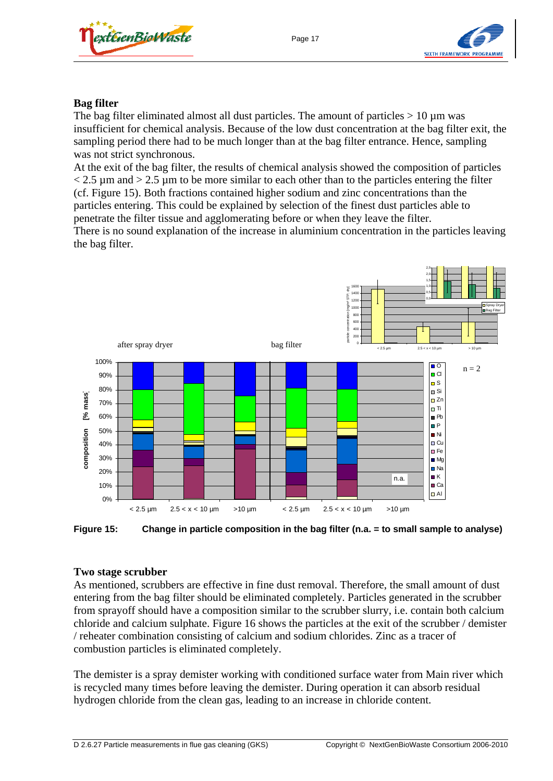



#### **Bag filter**

The bag filter eliminated almost all dust particles. The amount of particles  $> 10 \mu m$  was insufficient for chemical analysis. Because of the low dust concentration at the bag filter exit, the sampling period there had to be much longer than at the bag filter entrance. Hence, sampling was not strict synchronous.

At the exit of the bag filter, the results of chemical analysis showed the composition of particles  $<$  2.5  $\mu$ m and  $>$  2.5  $\mu$ m to be more similar to each other than to the particles entering the filter (cf. Figure 15). Both fractions contained higher sodium and zinc concentrations than the particles entering. This could be explained by selection of the finest dust particles able to penetrate the filter tissue and agglomerating before or when they leave the filter.

There is no sound explanation of the increase in aluminium concentration in the particles leaving the bag filter.



**Figure 15: Change in particle composition in the bag filter (n.a. = to small sample to analyse)** 

#### **Two stage scrubber**

As mentioned, scrubbers are effective in fine dust removal. Therefore, the small amount of dust entering from the bag filter should be eliminated completely. Particles generated in the scrubber from sprayoff should have a composition similar to the scrubber slurry, i.e. contain both calcium chloride and calcium sulphate. Figure 16 shows the particles at the exit of the scrubber / demister / reheater combination consisting of calcium and sodium chlorides. Zinc as a tracer of combustion particles is eliminated completely.

The demister is a spray demister working with conditioned surface water from Main river which is recycled many times before leaving the demister. During operation it can absorb residual hydrogen chloride from the clean gas, leading to an increase in chloride content.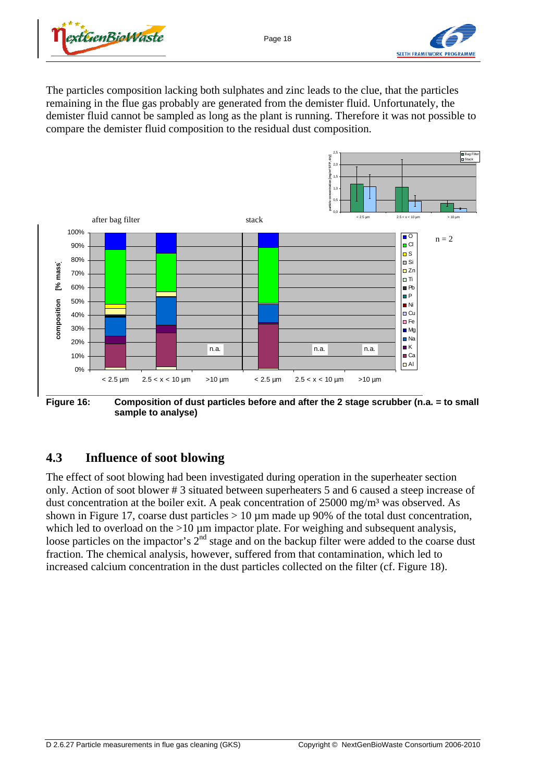



The particles composition lacking both sulphates and zinc leads to the clue, that the particles remaining in the flue gas probably are generated from the demister fluid. Unfortunately, the demister fluid cannot be sampled as long as the plant is running. Therefore it was not possible to compare the demister fluid composition to the residual dust composition.



**Figure 16: Composition of dust particles before and after the 2 stage scrubber (n.a. = to small sample to analyse)** 

# **4.3 Influence of soot blowing**

The effect of soot blowing had been investigated during operation in the superheater section only. Action of soot blower # 3 situated between superheaters 5 and 6 caused a steep increase of dust concentration at the boiler exit. A peak concentration of 25000 mg/m<sup>3</sup> was observed. As shown in Figure 17, coarse dust particles  $> 10 \mu m$  made up 90% of the total dust concentration, which led to overload on the  $>10 \mu$ m impactor plate. For weighing and subsequent analysis, loose particles on the impactor's 2<sup>nd</sup> stage and on the backup filter were added to the coarse dust fraction. The chemical analysis, however, suffered from that contamination, which led to increased calcium concentration in the dust particles collected on the filter (cf. Figure 18).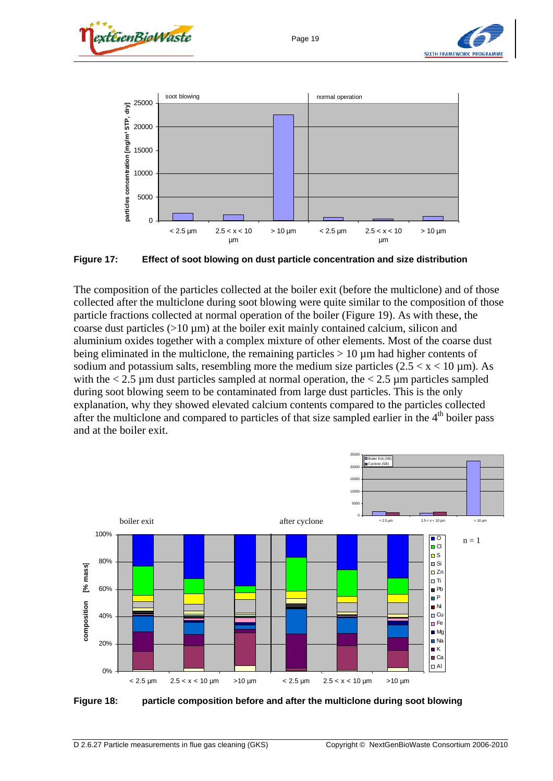







**Figure 17: Effect of soot blowing on dust particle concentration and size distribution** 

The composition of the particles collected at the boiler exit (before the multiclone) and of those collected after the multiclone during soot blowing were quite similar to the composition of those particle fractions collected at normal operation of the boiler (Figure 19). As with these, the coarse dust particles  $(>10 \mu m)$  at the boiler exit mainly contained calcium, silicon and aluminium oxides together with a complex mixture of other elements. Most of the coarse dust being eliminated in the multiclone, the remaining particles  $> 10 \mu m$  had higher contents of sodium and potassium salts, resembling more the medium size particles  $(2.5 < x < 10 \,\mu\text{m})$ . As with the  $< 2.5 \mu m$  dust particles sampled at normal operation, the  $< 2.5 \mu m$  particles sampled during soot blowing seem to be contaminated from large dust particles. This is the only explanation, why they showed elevated calcium contents compared to the particles collected after the multiclone and compared to particles of that size sampled earlier in the 4<sup>th</sup> boiler pass and at the boiler exit.



**Figure 18: particle composition before and after the multiclone during soot blowing**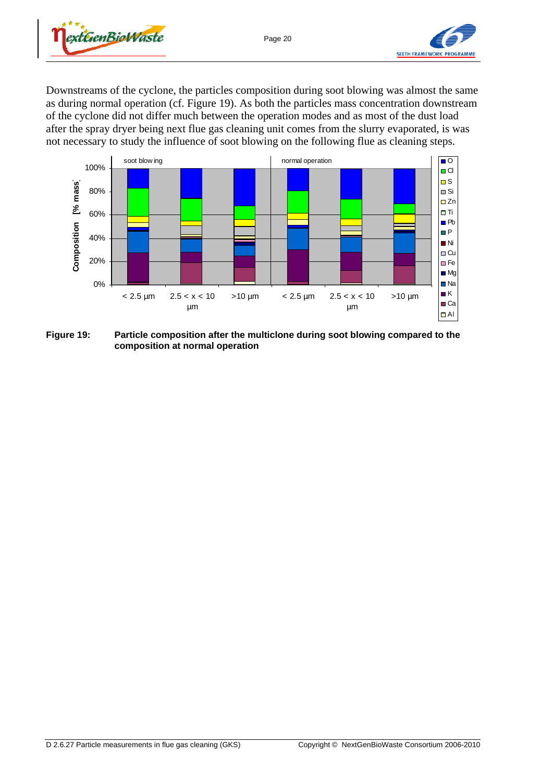



Downstreams of the cyclone, the particles composition during soot blowing was almost the same as during normal operation (cf. Figure 19). As both the particles mass concentration downstream of the cyclone did not differ much between the operation modes and as most of the dust load after the spray dryer being next flue gas cleaning unit comes from the slurry evaporated, is was not necessary to study the influence of soot blowing on the following flue as cleaning steps.



**Figure 19: Particle composition after the multiclone during soot blowing compared to the composition at normal operation**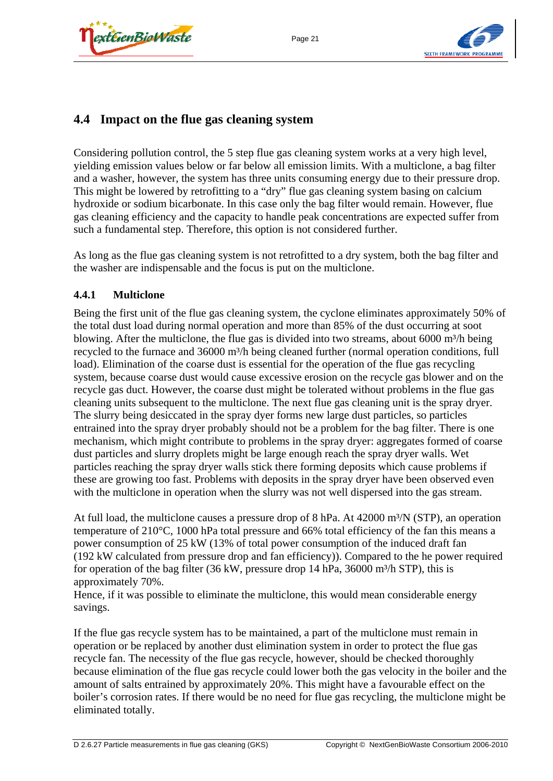



## **4.4 Impact on the flue gas cleaning system**

Considering pollution control, the 5 step flue gas cleaning system works at a very high level, yielding emission values below or far below all emission limits. With a multiclone, a bag filter and a washer, however, the system has three units consuming energy due to their pressure drop. This might be lowered by retrofitting to a "dry" flue gas cleaning system basing on calcium hydroxide or sodium bicarbonate. In this case only the bag filter would remain. However, flue gas cleaning efficiency and the capacity to handle peak concentrations are expected suffer from such a fundamental step. Therefore, this option is not considered further.

As long as the flue gas cleaning system is not retrofitted to a dry system, both the bag filter and the washer are indispensable and the focus is put on the multiclone.

#### **4.4.1 Multiclone**

Being the first unit of the flue gas cleaning system, the cyclone eliminates approximately 50% of the total dust load during normal operation and more than 85% of the dust occurring at soot blowing. After the multiclone, the flue gas is divided into two streams, about  $6000 \text{ m}^3/\text{h}$  being recycled to the furnace and 36000 m<sup>3</sup>/h being cleaned further (normal operation conditions, full load). Elimination of the coarse dust is essential for the operation of the flue gas recycling system, because coarse dust would cause excessive erosion on the recycle gas blower and on the recycle gas duct. However, the coarse dust might be tolerated without problems in the flue gas cleaning units subsequent to the multiclone. The next flue gas cleaning unit is the spray dryer. The slurry being desiccated in the spray dyer forms new large dust particles, so particles entrained into the spray dryer probably should not be a problem for the bag filter. There is one mechanism, which might contribute to problems in the spray dryer: aggregates formed of coarse dust particles and slurry droplets might be large enough reach the spray dryer walls. Wet particles reaching the spray dryer walls stick there forming deposits which cause problems if these are growing too fast. Problems with deposits in the spray dryer have been observed even with the multiclone in operation when the slurry was not well dispersed into the gas stream.

At full load, the multiclone causes a pressure drop of 8 hPa. At  $42000 \text{ m}^3/\text{N (STP)}$ , an operation temperature of 210°C, 1000 hPa total pressure and 66% total efficiency of the fan this means a power consumption of 25 kW (13% of total power consumption of the induced draft fan (192 kW calculated from pressure drop and fan efficiency)). Compared to the he power required for operation of the bag filter  $(36 \text{ kW}, \text{pressure drop } 14 \text{ hPa}, 36000 \text{ m}^3/\text{h STP})$ , this is approximately 70%.

Hence, if it was possible to eliminate the multiclone, this would mean considerable energy savings.

If the flue gas recycle system has to be maintained, a part of the multiclone must remain in operation or be replaced by another dust elimination system in order to protect the flue gas recycle fan. The necessity of the flue gas recycle, however, should be checked thoroughly because elimination of the flue gas recycle could lower both the gas velocity in the boiler and the amount of salts entrained by approximately 20%. This might have a favourable effect on the boiler's corrosion rates. If there would be no need for flue gas recycling, the multiclone might be eliminated totally.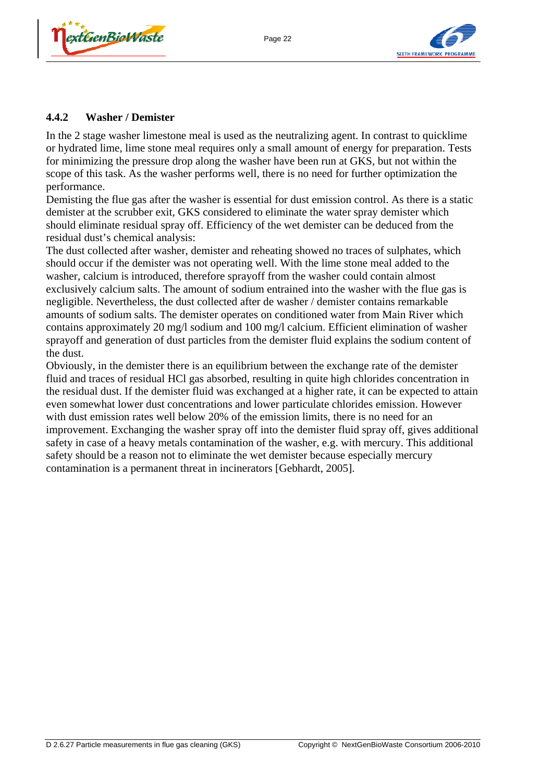



#### **4.4.2 Washer / Demister**

In the 2 stage washer limestone meal is used as the neutralizing agent. In contrast to quicklime or hydrated lime, lime stone meal requires only a small amount of energy for preparation. Tests for minimizing the pressure drop along the washer have been run at GKS, but not within the scope of this task. As the washer performs well, there is no need for further optimization the performance.

Demisting the flue gas after the washer is essential for dust emission control. As there is a static demister at the scrubber exit, GKS considered to eliminate the water spray demister which should eliminate residual spray off. Efficiency of the wet demister can be deduced from the residual dust's chemical analysis:

The dust collected after washer, demister and reheating showed no traces of sulphates, which should occur if the demister was not operating well. With the lime stone meal added to the washer, calcium is introduced, therefore sprayoff from the washer could contain almost exclusively calcium salts. The amount of sodium entrained into the washer with the flue gas is negligible. Nevertheless, the dust collected after de washer / demister contains remarkable amounts of sodium salts. The demister operates on conditioned water from Main River which contains approximately 20 mg/l sodium and 100 mg/l calcium. Efficient elimination of washer sprayoff and generation of dust particles from the demister fluid explains the sodium content of the dust.

Obviously, in the demister there is an equilibrium between the exchange rate of the demister fluid and traces of residual HCl gas absorbed, resulting in quite high chlorides concentration in the residual dust. If the demister fluid was exchanged at a higher rate, it can be expected to attain even somewhat lower dust concentrations and lower particulate chlorides emission. However with dust emission rates well below 20% of the emission limits, there is no need for an improvement. Exchanging the washer spray off into the demister fluid spray off, gives additional safety in case of a heavy metals contamination of the washer, e.g. with mercury. This additional safety should be a reason not to eliminate the wet demister because especially mercury contamination is a permanent threat in incinerators [Gebhardt, 2005].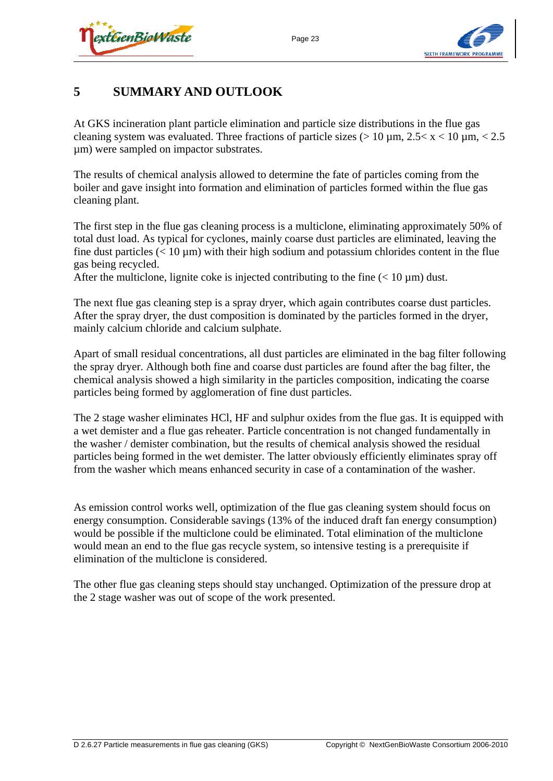



# **5 SUMMARY AND OUTLOOK**

At GKS incineration plant particle elimination and particle size distributions in the flue gas cleaning system was evaluated. Three fractions of particle sizes ( $> 10 \mu m$ ,  $2.5 < x < 10 \mu m$ ,  $< 2.5$ µm) were sampled on impactor substrates.

The results of chemical analysis allowed to determine the fate of particles coming from the boiler and gave insight into formation and elimination of particles formed within the flue gas cleaning plant.

The first step in the flue gas cleaning process is a multiclone, eliminating approximately 50% of total dust load. As typical for cyclones, mainly coarse dust particles are eliminated, leaving the fine dust particles  $(< 10 \mu m)$  with their high sodium and potassium chlorides content in the flue gas being recycled.

After the multiclone, lignite coke is injected contributing to the fine  $(< 10 \mu m)$  dust.

The next flue gas cleaning step is a spray dryer, which again contributes coarse dust particles. After the spray dryer, the dust composition is dominated by the particles formed in the dryer, mainly calcium chloride and calcium sulphate.

Apart of small residual concentrations, all dust particles are eliminated in the bag filter following the spray dryer. Although both fine and coarse dust particles are found after the bag filter, the chemical analysis showed a high similarity in the particles composition, indicating the coarse particles being formed by agglomeration of fine dust particles.

The 2 stage washer eliminates HCl, HF and sulphur oxides from the flue gas. It is equipped with a wet demister and a flue gas reheater. Particle concentration is not changed fundamentally in the washer / demister combination, but the results of chemical analysis showed the residual particles being formed in the wet demister. The latter obviously efficiently eliminates spray off from the washer which means enhanced security in case of a contamination of the washer.

As emission control works well, optimization of the flue gas cleaning system should focus on energy consumption. Considerable savings (13% of the induced draft fan energy consumption) would be possible if the multiclone could be eliminated. Total elimination of the multiclone would mean an end to the flue gas recycle system, so intensive testing is a prerequisite if elimination of the multiclone is considered.

The other flue gas cleaning steps should stay unchanged. Optimization of the pressure drop at the 2 stage washer was out of scope of the work presented.